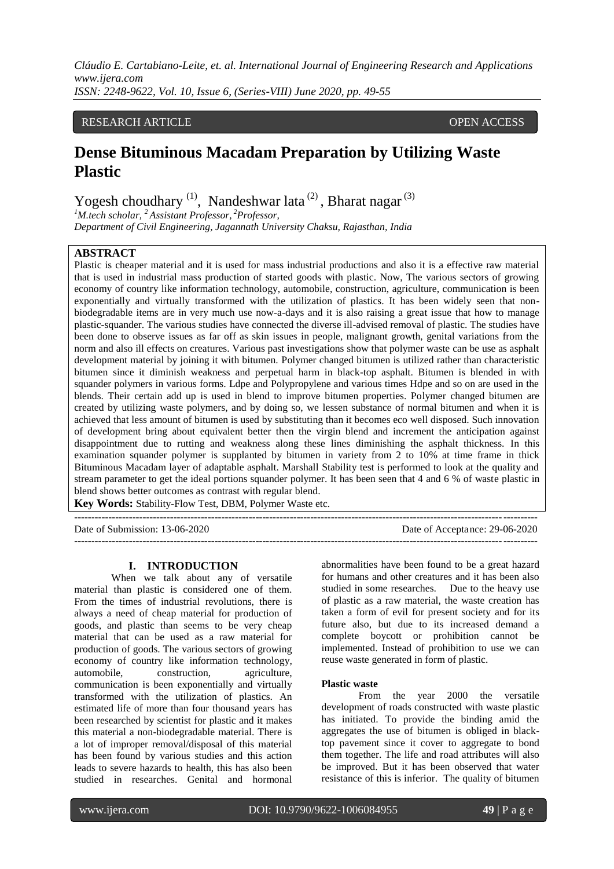## RESEARCH ARTICLE OPEN ACCESS

# **Dense Bituminous Macadam Preparation by Utilizing Waste Plastic**

Yogesh choudhary  $(1)$ , Nandeshwar lata $(2)$ , Bharat nagar $(3)$ 

*<sup>1</sup>M.tech scholar, <sup>2</sup>Assistant Professor, <sup>2</sup>Professor, Department of Civil Engineering, Jagannath University Chaksu, Rajasthan, India*

## **ABSTRACT**

Plastic is cheaper material and it is used for mass industrial productions and also it is a effective raw material that is used in industrial mass production of started goods with plastic. Now, The various sectors of growing economy of country like information technology, automobile, construction, agriculture, communication is been exponentially and virtually transformed with the utilization of plastics. It has been widely seen that nonbiodegradable items are in very much use now-a-days and it is also raising a great issue that how to manage plastic-squander. The various studies have connected the diverse ill-advised removal of plastic. The studies have been done to observe issues as far off as skin issues in people, malignant growth, genital variations from the norm and also ill effects on creatures. Various past investigations show that polymer waste can be use as asphalt development material by joining it with bitumen. Polymer changed bitumen is utilized rather than characteristic bitumen since it diminish weakness and perpetual harm in black-top asphalt. Bitumen is blended in with squander polymers in various forms. Ldpe and Polypropylene and various times Hdpe and so on are used in the blends. Their certain add up is used in blend to improve bitumen properties. Polymer changed bitumen are created by utilizing waste polymers, and by doing so, we lessen substance of normal bitumen and when it is achieved that less amount of bitumen is used by substituting than it becomes eco well disposed. Such innovation of development bring about equivalent better then the virgin blend and increment the anticipation against disappointment due to rutting and weakness along these lines diminishing the asphalt thickness. In this examination squander polymer is supplanted by bitumen in variety from 2 to 10% at time frame in thick Bituminous Macadam layer of adaptable asphalt. Marshall Stability test is performed to look at the quality and stream parameter to get the ideal portions squander polymer. It has been seen that 4 and 6 % of waste plastic in blend shows better outcomes as contrast with regular blend.

---------------------------------------------------------------------------------------------------------------------------------------

**Key Words:** Stability-Flow Test, DBM, Polymer Waste etc.

Date of Submission: 13-06-2020 Date of Acceptance: 29-06-2020

#### **I. INTRODUCTION**

When we talk about any of versatile material than plastic is considered one of them. From the times of industrial revolutions, there is always a need of cheap material for production of goods, and plastic than seems to be very cheap material that can be used as a raw material for production of goods. The various sectors of growing economy of country like information technology, automobile, construction, agriculture, communication is been exponentially and virtually transformed with the utilization of plastics. An estimated life of more than four thousand years has been researched by scientist for plastic and it makes this material a non-biodegradable material. There is a lot of improper removal/disposal of this material has been found by various studies and this action leads to severe hazards to health, this has also been studied in researches. Genital and hormonal abnormalities have been found to be a great hazard for humans and other creatures and it has been also studied in some researches. Due to the heavy use of plastic as a raw material, the waste creation has taken a form of evil for present society and for its future also, but due to its increased demand a complete boycott or prohibition cannot be implemented. Instead of prohibition to use we can reuse waste generated in form of plastic.

---------------------------------------------------------------------------------------------------------------------------------------

#### **Plastic waste**

From the year 2000 the versatile development of roads constructed with waste plastic has initiated. To provide the binding amid the aggregates the use of bitumen is obliged in blacktop pavement since it cover to aggregate to bond them together. The life and road attributes will also be improved. But it has been observed that water resistance of this is inferior. The quality of bitumen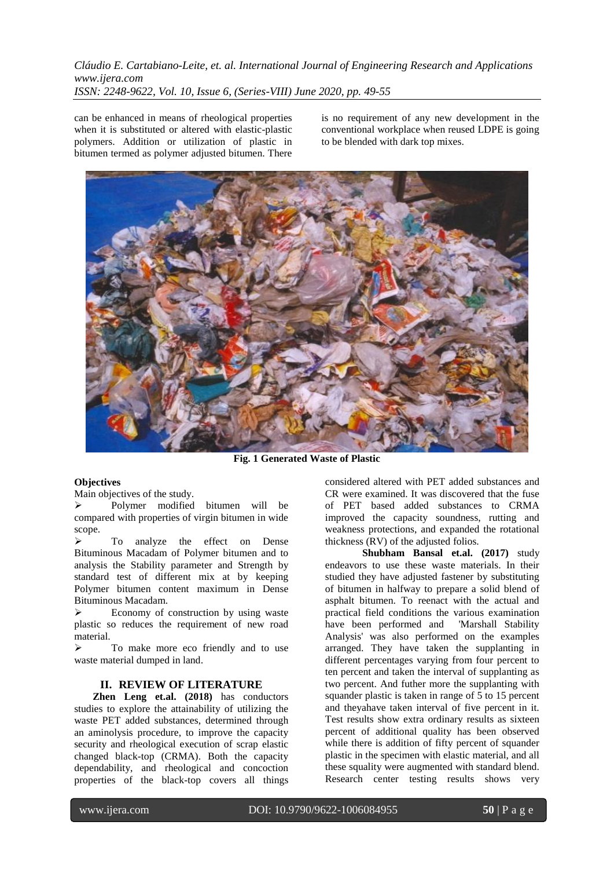can be enhanced in means of rheological properties when it is substituted or altered with elastic-plastic polymers. Addition or utilization of plastic in bitumen termed as polymer adjusted bitumen. There

is no requirement of any new development in the conventional workplace when reused LDPE is going to be blended with dark top mixes.



**Fig. 1 Generated Waste of Plastic**

#### **Objectives**

Main objectives of the study.

 Polymer modified bitumen will be compared with properties of virgin bitumen in wide scope.

 $\triangleright$  To analyze the effect on Dense Bituminous Macadam of Polymer bitumen and to analysis the Stability parameter and Strength by standard test of different mix at by keeping Polymer bitumen content maximum in Dense Bituminous Macadam.

 Economy of construction by using waste plastic so reduces the requirement of new road material.

 To make more eco friendly and to use waste material dumped in land.

## **II. REVIEW OF LITERATURE**

**Zhen Leng et.al. (2018)** has conductors studies to explore the attainability of utilizing the waste PET added substances, determined through an aminolysis procedure, to improve the capacity security and rheological execution of scrap elastic changed black-top (CRMA). Both the capacity dependability, and rheological and concoction properties of the black-top covers all things

considered altered with PET added substances and CR were examined. It was discovered that the fuse of PET based added substances to CRMA improved the capacity soundness, rutting and weakness protections, and expanded the rotational thickness (RV) of the adjusted folios.

**Shubham Bansal et.al. (2017)** study endeavors to use these waste materials. In their studied they have adjusted fastener by substituting of bitumen in halfway to prepare a solid blend of asphalt bitumen. To reenact with the actual and practical field conditions the various examination have been performed and 'Marshall Stability Analysis' was also performed on the examples arranged. They have taken the supplanting in different percentages varying from four percent to ten percent and taken the interval of supplanting as two percent. And futher more the supplanting with squander plastic is taken in range of  $\overline{5}$  to 15 percent and theyahave taken interval of five percent in it. Test results show extra ordinary results as sixteen percent of additional quality has been observed while there is addition of fifty percent of squander plastic in the specimen with elastic material, and all these squality were augmented with standard blend. Research center testing results shows very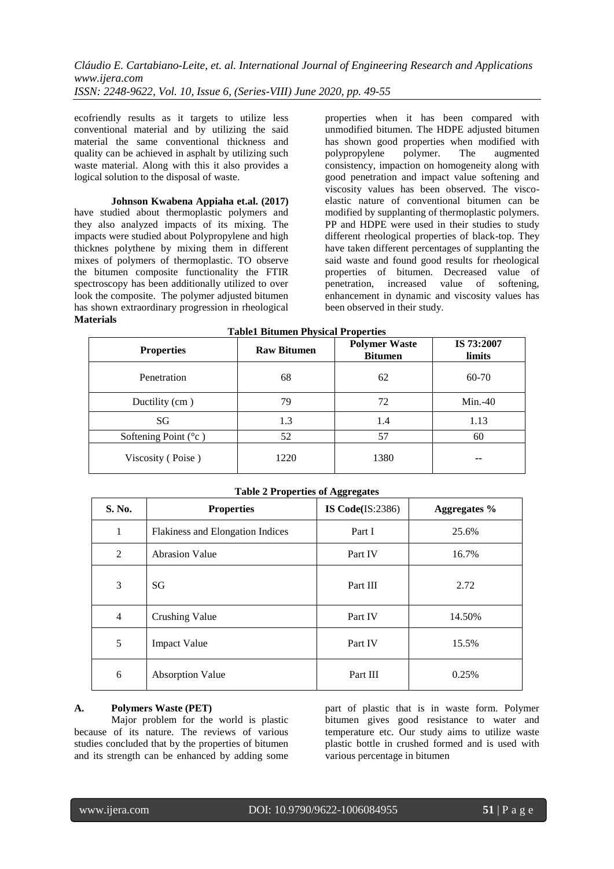ecofriendly results as it targets to utilize less conventional material and by utilizing the said material the same conventional thickness and quality can be achieved in asphalt by utilizing such waste material. Along with this it also provides a logical solution to the disposal of waste.

**Johnson Kwabena Appiaha et.al. (2017)** have studied about thermoplastic polymers and they also analyzed impacts of its mixing. The impacts were studied about Polypropylene and high thicknes polythene by mixing them in different mixes of polymers of thermoplastic. TO observe the bitumen composite functionality the FTIR spectroscopy has been additionally utilized to over look the composite. The polymer adjusted bitumen has shown extraordinary progression in rheological **Materials**

properties when it has been compared with unmodified bitumen. The HDPE adjusted bitumen has shown good properties when modified with polypropylene polymer. The augmented consistency, impaction on homogeneity along with good penetration and impact value softening and viscosity values has been observed. The viscoelastic nature of conventional bitumen can be modified by supplanting of thermoplastic polymers. PP and HDPE were used in their studies to study different rheological properties of black-top. They have taken different percentages of supplanting the said waste and found good results for rheological properties of bitumen. Decreased value of penetration, increased value of softening, enhancement in dynamic and viscosity values has been observed in their study.

| <b>Properties</b>               | <b>Raw Bitumen</b> | <b>Polymer Waste</b><br><b>Bitumen</b> | IS 73:2007<br>limits |
|---------------------------------|--------------------|----------------------------------------|----------------------|
| Penetration                     | 68                 | 62                                     | 60-70                |
| Ductility (cm)                  | 79                 | 72                                     | $Min.-40$            |
| SG                              | 1.3                | 1.4                                    | 1.13                 |
| Softening Point $({}^{\circ}c)$ | 52                 | 57                                     | 60                   |
| Viscosity (Poise)               | 1220               | 1380                                   | --                   |

| <b>Table 2 Properties of Aggregates</b> |                                  |                    |                     |  |  |  |
|-----------------------------------------|----------------------------------|--------------------|---------------------|--|--|--|
| S. No.                                  | <b>Properties</b>                | IS $Code(IS:2386)$ | <b>Aggregates</b> % |  |  |  |
| $\mathbf{1}$                            | Flakiness and Elongation Indices | Part I             | 25.6%               |  |  |  |
| 2                                       | <b>Abrasion Value</b>            | Part IV            | 16.7%               |  |  |  |
| 3                                       | SG                               | Part III           | 2.72                |  |  |  |
| $\overline{4}$                          | <b>Crushing Value</b>            | Part IV            | 14.50%              |  |  |  |
| 5                                       | <b>Impact Value</b>              | Part IV            | 15.5%               |  |  |  |
| 6                                       | <b>Absorption Value</b>          | Part III           | 0.25%               |  |  |  |

# **A. Polymers Waste (PET)**

Major problem for the world is plastic because of its nature. The reviews of various studies concluded that by the properties of bitumen and its strength can be enhanced by adding some

part of plastic that is in waste form. Polymer bitumen gives good resistance to water and temperature etc. Our study aims to utilize waste plastic bottle in crushed formed and is used with various percentage in bitumen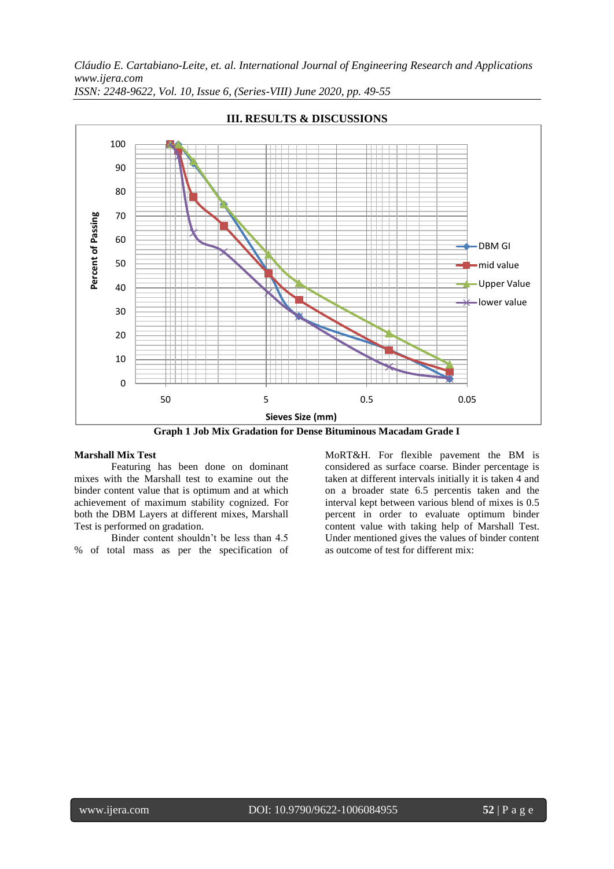

**III. RESULTS & DISCUSSIONS**

**Graph 1 Job Mix Gradation for Dense Bituminous Macadam Grade I**

#### **Marshall Mix Test**

Featuring has been done on dominant mixes with the Marshall test to examine out the binder content value that is optimum and at which achievement of maximum stability cognized. For both the DBM Layers at different mixes, Marshall Test is performed on gradation.

Binder content shouldn't be less than 4.5 % of total mass as per the specification of MoRT&H. For flexible pavement the BM is considered as surface coarse. Binder percentage is taken at different intervals initially it is taken 4 and on a broader state 6.5 percentis taken and the interval kept between various blend of mixes is 0.5 percent in order to evaluate optimum binder content value with taking help of Marshall Test. Under mentioned gives the values of binder content as outcome of test for different mix: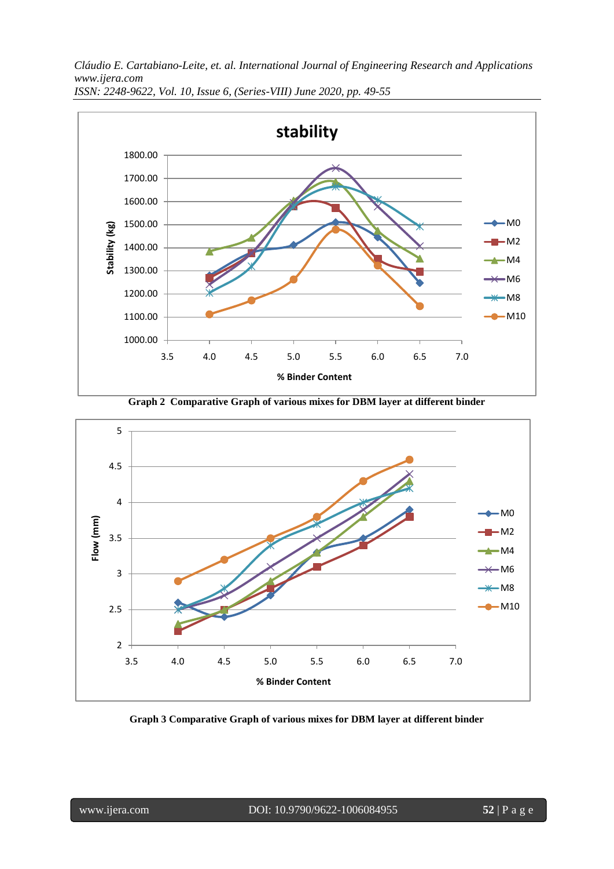*Cláudio E. Cartabiano-Leite, et. al. International Journal of Engineering Research and Applications www.ijera.com*



*ISSN: 2248-9622, Vol. 10, Issue 6, (Series-VIII) June 2020, pp. 49-55*

**Graph 2 Comparative Graph of various mixes for DBM layer at different binder**



**Graph 3 Comparative Graph of various mixes for DBM layer at different binder**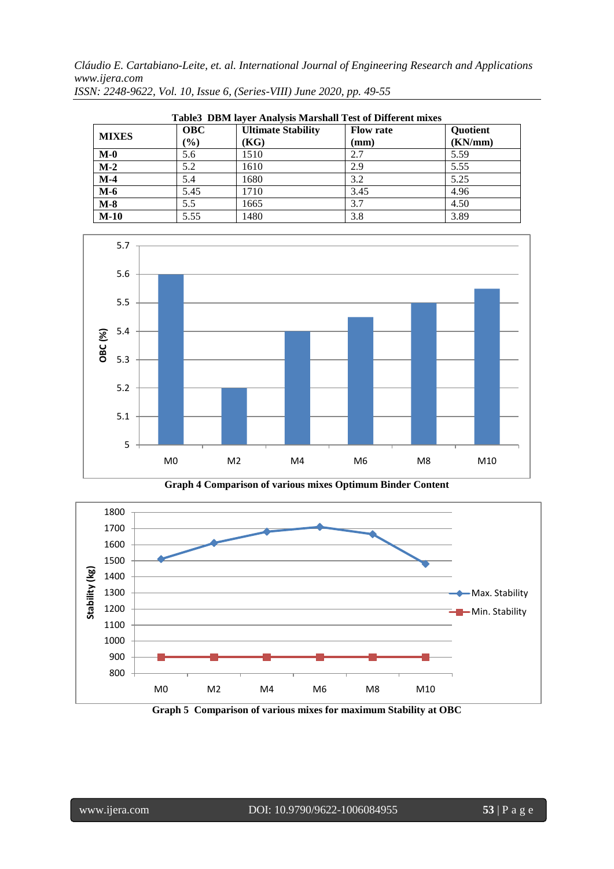| Table3 DBM layer Analysis Marshall Test of Different mixes |                             |                                   |                          |                     |  |
|------------------------------------------------------------|-----------------------------|-----------------------------------|--------------------------|---------------------|--|
| <b>MIXES</b>                                               | <b>OBC</b><br>$\frac{9}{0}$ | <b>Ultimate Stability</b><br>(KG) | <b>Flow rate</b><br>(mm) | Quotient<br>(KN/mm) |  |
| $M-0$                                                      | 5.6                         | 1510                              | 2.7                      | 5.59                |  |
| $M-2$                                                      | 5.2                         | 1610                              | 2.9                      | 5.55                |  |
| $M-4$                                                      | 5.4                         | 1680                              | 3.2                      | 5.25                |  |
| $M-6$                                                      | 5.45                        | 1710                              | 3.45                     | 4.96                |  |
| $M-8$                                                      | 5.5                         | 1665                              | 3.7                      | 4.50                |  |
| $M-10$                                                     | 5.55                        | 1480                              | 3.8                      | 3.89                |  |



**Graph 4 Comparison of various mixes Optimum Binder Content**



**Graph 5 Comparison of various mixes for maximum Stability at OBC**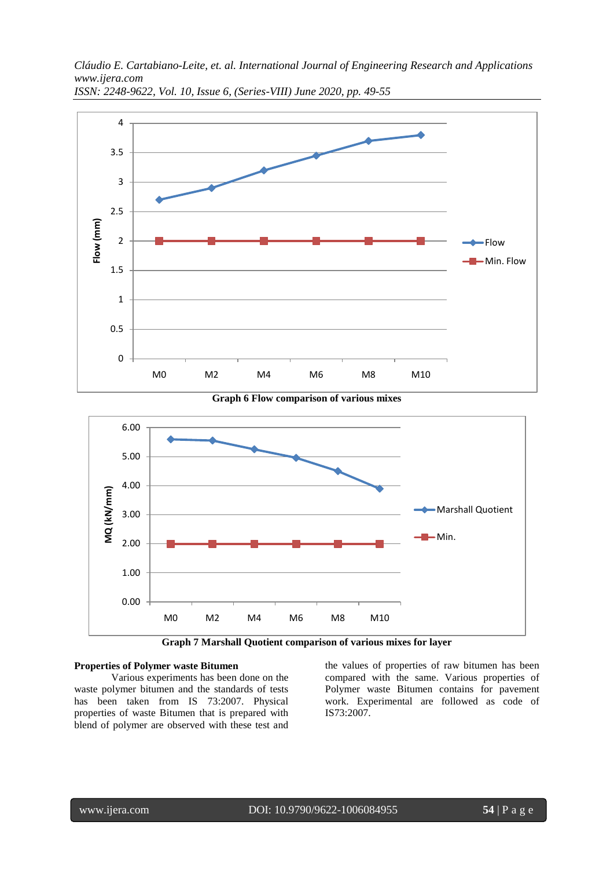*Cláudio E. Cartabiano-Leite, et. al. International Journal of Engineering Research and Applications www.ijera.com*



*ISSN: 2248-9622, Vol. 10, Issue 6, (Series-VIII) June 2020, pp. 49-55*





**Graph 7 Marshall Quotient comparison of various mixes for layer**

#### **Properties of Polymer waste Bitumen**

Various experiments has been done on the waste polymer bitumen and the standards of tests has been taken from IS 73:2007. Physical properties of waste Bitumen that is prepared with blend of polymer are observed with these test and the values of properties of raw bitumen has been compared with the same. Various properties of Polymer waste Bitumen contains for pavement work. Experimental are followed as code of IS73:2007.